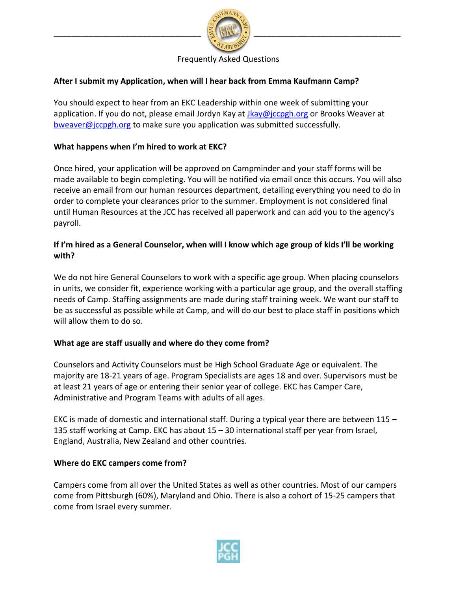

### Frequently Asked Questions

### **After I submit my Application, when will I hear back from Emma Kaufmann Camp?**

You should expect to hear from an EKC Leadership within one week of submitting your application. If you do not, please email Jordyn Kay at *[Jkay@jccpgh.org](mailto:Jkay@jccpgh.org)* or Brooks Weaver at [bweaver@jccpgh.org](mailto:bweaver@jccpgh.org) to make sure you application was submitted successfully.

### **What happens when I'm hired to work at EKC?**

Once hired, your application will be approved on Campminder and your staff forms will be made available to begin completing. You will be notified via email once this occurs. You will also receive an email from our human resources department, detailing everything you need to do in order to complete your clearances prior to the summer. Employment is not considered final until Human Resources at the JCC has received all paperwork and can add you to the agency's payroll.

## **If I'm hired as a General Counselor, when will I know which age group of kids I'll be working with?**

We do not hire General Counselors to work with a specific age group. When placing counselors in units, we consider fit, experience working with a particular age group, and the overall staffing needs of Camp. Staffing assignments are made during staff training week. We want our staff to be as successful as possible while at Camp, and will do our best to place staff in positions which will allow them to do so.

#### **What age are staff usually and where do they come from?**

Counselors and Activity Counselors must be High School Graduate Age or equivalent. The majority are 18-21 years of age. Program Specialists are ages 18 and over. Supervisors must be at least 21 years of age or entering their senior year of college. EKC has Camper Care, Administrative and Program Teams with adults of all ages.

EKC is made of domestic and international staff. During a typical year there are between 115 – 135 staff working at Camp. EKC has about 15 – 30 international staff per year from Israel, England, Australia, New Zealand and other countries.

#### **Where do EKC campers come from?**

Campers come from all over the United States as well as other countries. Most of our campers come from Pittsburgh (60%), Maryland and Ohio. There is also a cohort of 15-25 campers that come from Israel every summer.

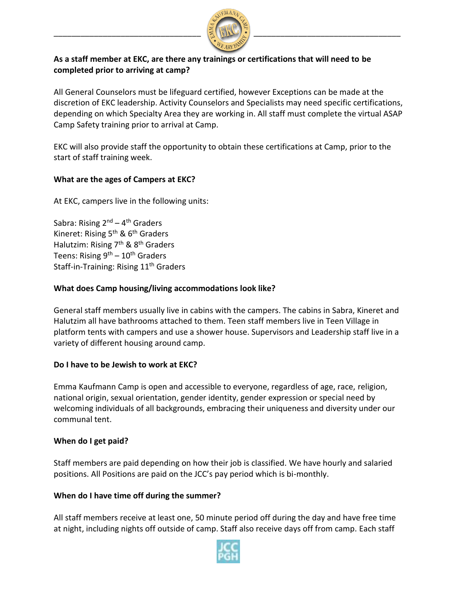

# **As a staff member at EKC, are there any trainings or certifications that will need to be completed prior to arriving at camp?**

All General Counselors must be lifeguard certified, however Exceptions can be made at the discretion of EKC leadership. Activity Counselors and Specialists may need specific certifications, depending on which Specialty Area they are working in. All staff must complete the virtual ASAP Camp Safety training prior to arrival at Camp.

EKC will also provide staff the opportunity to obtain these certifications at Camp, prior to the start of staff training week.

## **What are the ages of Campers at EKC?**

At EKC, campers live in the following units:

Sabra: Rising 2<sup>nd</sup> – 4<sup>th</sup> Graders Kineret: Rising  $5<sup>th</sup>$  &  $6<sup>th</sup>$  Graders Halutzim: Rising  $7<sup>th</sup>$  &  $8<sup>th</sup>$  Graders Teens: Rising 9<sup>th</sup> – 10<sup>th</sup> Graders Staff-in-Training: Rising 11<sup>th</sup> Graders

## **What does Camp housing/living accommodations look like?**

General staff members usually live in cabins with the campers. The cabins in Sabra, Kineret and Halutzim all have bathrooms attached to them. Teen staff members live in Teen Village in platform tents with campers and use a shower house. Supervisors and Leadership staff live in a variety of different housing around camp.

## **Do I have to be Jewish to work at EKC?**

Emma Kaufmann Camp is open and accessible to everyone, regardless of age, race, religion, national origin, sexual orientation, gender identity, gender expression or special need by welcoming individuals of all backgrounds, embracing their uniqueness and diversity under our communal tent.

#### **When do I get paid?**

Staff members are paid depending on how their job is classified. We have hourly and salaried positions. All Positions are paid on the JCC's pay period which is bi-monthly.

#### **When do I have time off during the summer?**

All staff members receive at least one, 50 minute period off during the day and have free time at night, including nights off outside of camp. Staff also receive days off from camp. Each staff

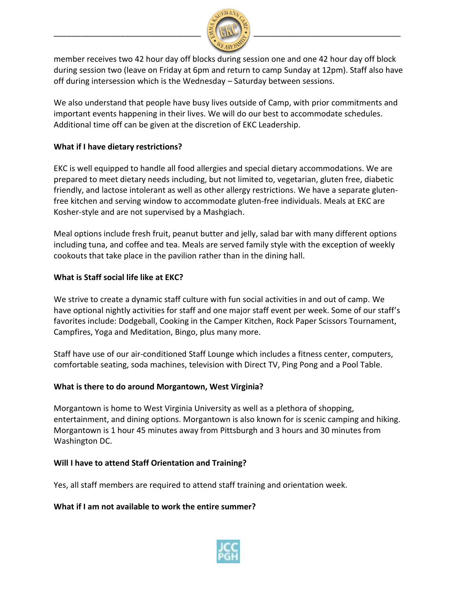

member receives two 42 hour day off blocks during session one and one 42 hour day off block during session two (leave on Friday at 6pm and return to camp Sunday at 12pm). Staff also have off during intersession which is the Wednesday – Saturday between sessions.

We also understand that people have busy lives outside of Camp, with prior commitments and important events happening in their lives. We will do our best to accommodate schedules. Additional time off can be given at the discretion of EKC Leadership.

# **What if I have dietary restrictions?**

EKC is well equipped to handle all food allergies and special dietary accommodations. We are prepared to meet dietary needs including, but not limited to, vegetarian, gluten free, diabetic friendly, and lactose intolerant as well as other allergy restrictions. We have a separate glutenfree kitchen and serving window to accommodate gluten-free individuals. Meals at EKC are Kosher-style and are not supervised by a Mashgiach.

Meal options include fresh fruit, peanut butter and jelly, salad bar with many different options including tuna, and coffee and tea. Meals are served family style with the exception of weekly cookouts that take place in the pavilion rather than in the dining hall.

# **What is Staff social life like at EKC?**

We strive to create a dynamic staff culture with fun social activities in and out of camp. We have optional nightly activities for staff and one major staff event per week. Some of our staff's favorites include: Dodgeball, Cooking in the Camper Kitchen, Rock Paper Scissors Tournament, Campfires, Yoga and Meditation, Bingo, plus many more.

Staff have use of our air-conditioned Staff Lounge which includes a fitness center, computers, comfortable seating, soda machines, television with Direct TV, Ping Pong and a Pool Table.

## **What is there to do around Morgantown, West Virginia?**

Morgantown is home to West Virginia University as well as a plethora of shopping, entertainment, and dining options. Morgantown is also known for is scenic camping and hiking. Morgantown is 1 hour 45 minutes away from Pittsburgh and 3 hours and 30 minutes from Washington DC.

## **Will I have to attend Staff Orientation and Training?**

Yes, all staff members are required to attend staff training and orientation week.

## **What if I am not available to work the entire summer?**